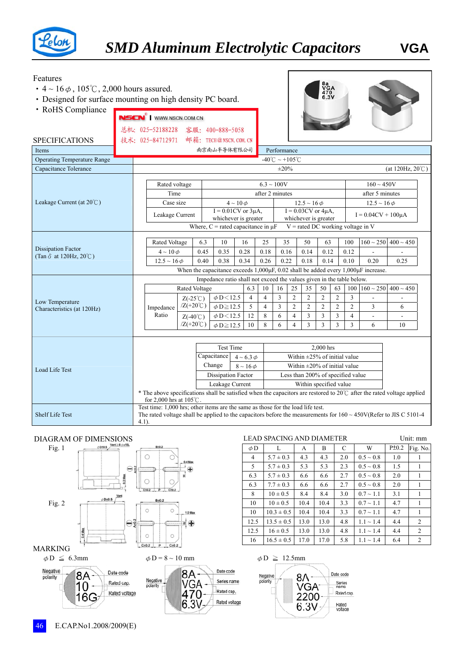

## Features

- $4 \sim 16 \phi$ ,  $105^{\circ}$ C, 2,000 hours assured.
- ‧Designed for surface mounting on high density PC board.
- 

| • RoHS Compliance                   |  |                                                                                                                                                             |                                                                                                                        |                            |      |                             |                   |                 |                                                    |                       |                |                |                                    |                     |                               |  |  |
|-------------------------------------|--|-------------------------------------------------------------------------------------------------------------------------------------------------------------|------------------------------------------------------------------------------------------------------------------------|----------------------------|------|-----------------------------|-------------------|-----------------|----------------------------------------------------|-----------------------|----------------|----------------|------------------------------------|---------------------|-------------------------------|--|--|
|                                     |  | NSCN <sup>®</sup>   WWW.NSCN.COM.CN                                                                                                                         |                                                                                                                        |                            |      |                             |                   |                 |                                                    |                       |                |                |                                    |                     |                               |  |  |
|                                     |  |                                                                                                                                                             | 总机: 025-52188228 客服: 400-888-5058                                                                                      |                            |      |                             |                   |                 |                                                    |                       |                |                |                                    |                     |                               |  |  |
| <b>SPECIFICATIONS</b>               |  |                                                                                                                                                             | 技术: 025-84712971 邮箱: TECH@NSCN. COM. CN                                                                                |                            |      |                             |                   |                 |                                                    |                       |                |                |                                    |                     |                               |  |  |
| Items                               |  |                                                                                                                                                             | 南京南山半导体有限公司<br>Performance                                                                                             |                            |      |                             |                   |                 |                                                    |                       |                |                |                                    |                     |                               |  |  |
| <b>Operating Temperature Range</b>  |  | -40°C ~ +105°C                                                                                                                                              |                                                                                                                        |                            |      |                             |                   |                 |                                                    |                       |                |                |                                    |                     |                               |  |  |
| Capacitance Tolerance               |  | $\pm 20\%$<br>(at 120Hz, $20^{\circ}$ C)                                                                                                                    |                                                                                                                        |                            |      |                             |                   |                 |                                                    |                       |                |                |                                    |                     |                               |  |  |
|                                     |  |                                                                                                                                                             |                                                                                                                        |                            |      |                             |                   |                 |                                                    |                       |                |                |                                    |                     |                               |  |  |
|                                     |  |                                                                                                                                                             | Rated voltage                                                                                                          |                            |      |                             |                   | $6.3 \sim 100V$ |                                                    |                       |                |                |                                    |                     | $160 \sim 450V$               |  |  |
| Leakage Current (at $20^{\circ}$ C) |  |                                                                                                                                                             | Time                                                                                                                   |                            |      |                             |                   |                 | after 2 minutes<br>after 5 minutes                 |                       |                |                |                                    |                     |                               |  |  |
|                                     |  | Case size<br>Leakage Current                                                                                                                                |                                                                                                                        |                            |      | $I = 0.01$ CV or $3\mu A$ , | $4 \sim 10 \phi$  |                 | $12.5 \sim 16 \phi$<br>$I = 0.03$ CV or $4\mu A$ , |                       |                |                |                                    | $12.5 \sim 16 \phi$ |                               |  |  |
|                                     |  |                                                                                                                                                             |                                                                                                                        |                            |      | whichever is greater        |                   |                 | $I = 0.04CV + 100\mu A$<br>whichever is greater    |                       |                |                |                                    |                     |                               |  |  |
|                                     |  |                                                                                                                                                             | Where, $C$ = rated capacitance in $\mu$ F<br>$V =$ rated DC working voltage in V                                       |                            |      |                             |                   |                 |                                                    |                       |                |                |                                    |                     |                               |  |  |
|                                     |  |                                                                                                                                                             |                                                                                                                        |                            | 6.3  | 10                          | 16                | 25              | 35                                                 |                       | 50             | 63             | 100                                |                     | $160 \sim 250$ 400 $\sim 450$ |  |  |
| <b>Dissipation Factor</b>           |  |                                                                                                                                                             | Rated Voltage<br>$4 \sim 10 \phi$                                                                                      |                            | 0.45 | 0.35                        | 0.28              | 0.18            | 0.16                                               |                       | 0.14           | 0.12           | 0.12                               |                     |                               |  |  |
| (Tan $\delta$ at 120Hz, 20°C)       |  |                                                                                                                                                             | $12.5 \sim 16 \phi$                                                                                                    |                            | 0.40 | 0.38                        | 0.34              | 0.26            | 0.22                                               |                       | 0.18           | 0.14           | 0.10                               | 0.20                | 0.25                          |  |  |
|                                     |  |                                                                                                                                                             | When the capacitance exceeds $1,000\mu$ F, 0.02 shall be added every $1,000\mu$ F increase.                            |                            |      |                             |                   |                 |                                                    |                       |                |                |                                    |                     |                               |  |  |
|                                     |  |                                                                                                                                                             | Impedance ratio shall not exceed the values given in the table below.                                                  |                            |      |                             |                   |                 |                                                    |                       |                |                |                                    |                     |                               |  |  |
|                                     |  |                                                                                                                                                             |                                                                                                                        | Rated Voltage              |      |                             | 6.3               | 10              | 16                                                 | 25                    | 35             | 50             | 63<br>100                          | $160 \sim 250$      | $400 \sim 450$                |  |  |
| Low Temperature                     |  |                                                                                                                                                             |                                                                                                                        | $Z(-25^{\circ}C)$          |      | $\phi$ D $<$ 12.5           | $\overline{4}$    | $\overline{4}$  | 3                                                  | $\overline{c}$        | $\mathfrak{2}$ | $\mathfrak{2}$ | $\overline{2}$<br>3                |                     |                               |  |  |
| Characteristics (at 120Hz)          |  |                                                                                                                                                             | Impedance<br>Ratio                                                                                                     | $Z(+20^{\circ}\mathrm{C})$ |      | $\phi$ D $\geq$ 12.5        | 5                 | $\overline{4}$  | 3                                                  | $\overline{2}$        | $\overline{c}$ | $\mathfrak{2}$ | $\overline{c}$<br>$\overline{c}$   | 3                   | 6                             |  |  |
|                                     |  |                                                                                                                                                             |                                                                                                                        | $Z(-40^{\circ}C)$          |      | $\phi$ D $<$ 12.5           | 12                | 8               | 6                                                  | $\overline{4}$        | 3              | 3              | 3<br>4                             |                     | $\overline{\phantom{a}}$      |  |  |
|                                     |  |                                                                                                                                                             |                                                                                                                        | $/Z(+20^{\circ}C)$         |      | $\phi$ D $\geq$ 12.5        | 10                | 8               | 6                                                  | $\boldsymbol{\Delta}$ | 3              | 3              | 3<br>3                             | 6                   | 10                            |  |  |
|                                     |  |                                                                                                                                                             |                                                                                                                        |                            |      |                             |                   |                 |                                                    |                       |                |                |                                    |                     |                               |  |  |
|                                     |  |                                                                                                                                                             |                                                                                                                        |                            |      | <b>Test Time</b>            |                   |                 |                                                    |                       |                | 2,000 hrs      |                                    |                     |                               |  |  |
|                                     |  | Capacitance                                                                                                                                                 |                                                                                                                        |                            |      |                             | $4 \sim 6.3 \phi$ |                 |                                                    |                       |                |                | Within $\pm 25\%$ of initial value |                     |                               |  |  |
| <b>Load Life Test</b>               |  | Change<br>$8 \sim 16 \phi$                                                                                                                                  |                                                                                                                        |                            |      |                             |                   |                 |                                                    |                       |                |                | Within $\pm 20\%$ of initial value |                     |                               |  |  |
|                                     |  |                                                                                                                                                             | Dissipation Factor<br>Less than 200% of specified value                                                                |                            |      |                             |                   |                 |                                                    |                       |                |                |                                    |                     |                               |  |  |
|                                     |  | Leakage Current<br>Within specified value                                                                                                                   |                                                                                                                        |                            |      |                             |                   |                 |                                                    |                       |                |                |                                    |                     |                               |  |  |
|                                     |  | * The above specifications shall be satisfied when the capacitors are restored to 20°C after the rated voltage applied<br>for 2,000 hrs at $105^{\circ}$ C. |                                                                                                                        |                            |      |                             |                   |                 |                                                    |                       |                |                |                                    |                     |                               |  |  |
|                                     |  |                                                                                                                                                             | Test time: 1,000 hrs; other items are the same as those for the load life test.                                        |                            |      |                             |                   |                 |                                                    |                       |                |                |                                    |                     |                               |  |  |
| <b>Shelf Life Test</b>              |  | $4.1$ ).                                                                                                                                                    | The rated voltage shall be applied to the capacitors before the measurements for $160 \sim 450V(Refer to JIS C 5101-4$ |                            |      |                             |                   |                 |                                                    |                       |                |                |                                    |                     |                               |  |  |
|                                     |  |                                                                                                                                                             |                                                                                                                        |                            |      |                             |                   |                 |                                                    |                       |                |                |                                    |                     |                               |  |  |



Rated voltage

|          | GRAM OF DIMENSIONS                                   |          | <b>LEAD SPACING AND DIAMETER</b> |      |      |     |                |       | Unit: mm |
|----------|------------------------------------------------------|----------|----------------------------------|------|------|-----|----------------|-------|----------|
| Fig. 1   | $\phi$ D±0.5 Vent≥8 $\phi$ x10L<br>B <sub>10.2</sub> | $\phi$ D |                                  | A    | B    | С   | W              | P±0.2 | Fig. No. |
|          | 0.4 Max                                              | 4        | $5.7 \pm 0.3$                    | 4.3  | 4.3  | 2.0 | $0.5 \sim 0.8$ | 1.0   |          |
|          | ⊕<br>⊖₿                                              | 5        | $5.7 \pm 0.3$                    | 5.3  | 5.3  | 2.3 | $0.5 \sim 0.8$ | 1.5   |          |
|          | ᅿ                                                    | 6.3      | $5.7 \pm 0.3$                    | 6.6  | 6.6  | 2.7 | $0.5 \sim 0.8$ | 2.0   |          |
|          | $C+0.2$ $P$ $C+0.2$                                  | 6.3      | $7.7 \pm 0.3$                    | 6.6  | 6.6  | 2.7 | $0.5 \sim 0.8$ | 2.0   |          |
|          | Vent<br>$\phi$ D <sub>±</sub> 0.5                    | 8        | $10 \pm 0.5$                     | 8.4  | 8.4  | 3.0 | $0.7 \sim 1.1$ | 3.1   |          |
| Fig. $2$ | $B + 0.2$                                            | 10       | $10 \pm 0.5$                     | 10.4 | 10.4 | 3.3 | $0.7 \sim 1.1$ | 4.7   |          |
|          | $\bigcirc$<br>$\circ$<br>1.0 Max                     | 10       | $10.3 \pm 0.5$                   | 10.4 | 10.4 | 3.3 | $0.7 \sim 1.1$ | 4.7   |          |
|          | $\sim$ $\sim$<br>⊕<br>چ⊜<br>≋                        | 12.5     | $13.5 \pm 0.5$                   | 13.0 | 13.0 | 4.8 | $1.1 \sim 1.4$ | 4.4   | 2        |
|          | 4 Max<br>$\circ$                                     | 12.5     | $16 \pm 0.5$                     | 13.0 | 13.0 | 4.8 | $1.1 \sim 1.4$ | 4.4   | 2        |
|          | õ<br>$C+0.2$ $P$<br>$C_{\pm}0.2$                     | 16       | $16.5 \pm 0.5$                   | 17.0 | 17.0 | 5.8 | $1.1 \sim 1.4$ | 6.4   | 2        |
| T        |                                                      |          |                                  |      |      |     |                |       |          |

8a<br>VGA<br>470<br>6.3V









16G

Negative

polarity